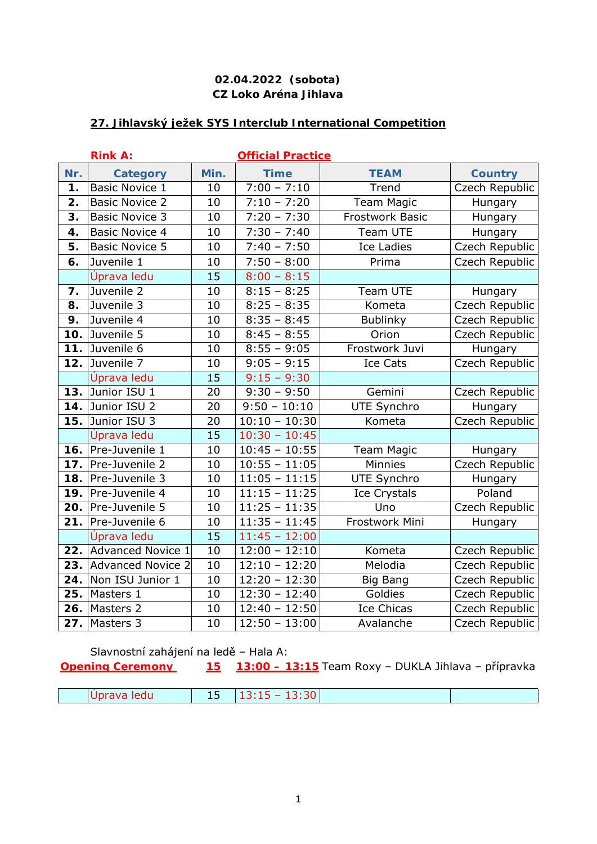## **27. Jihlavský ježek SYS Interclub International Competition**

|               | <b>Rink A:</b>           |      | <b>Official Practice</b> |                        |                |
|---------------|--------------------------|------|--------------------------|------------------------|----------------|
| Nr.           | <b>Category</b>          | Min. | <b>Time</b>              | <b>TEAM</b>            | <b>Country</b> |
| $\mathbf 1$ . | <b>Basic Novice 1</b>    | 10   | $7:00 - 7:10$            | Trend                  | Czech Republic |
| 2.            | <b>Basic Novice 2</b>    | 10   | $7:10 - 7:20$            | <b>Team Magic</b>      | Hungary        |
| 3.            | <b>Basic Novice 3</b>    | 10   | $7:20 - 7:30$            | <b>Frostwork Basic</b> | Hungary        |
| 4.            | <b>Basic Novice 4</b>    | 10   | $7:30 - 7:40$            | Team UTE               | Hungary        |
| 5.            | <b>Basic Novice 5</b>    | 10   | $7:40 - 7:50$            | <b>Ice Ladies</b>      | Czech Republic |
| 6.            | Juvenile 1               | 10   | $7:50 - 8:00$            | Prima                  | Czech Republic |
|               | Úprava ledu              | 15   | $8:00 - 8:15$            |                        |                |
| 7.            | Juvenile 2               | 10   | $8:15 - 8:25$            | Team UTE               | Hungary        |
| 8.            | Juvenile 3               | 10   | $8:25 - 8:35$            | Kometa                 | Czech Republic |
| 9.            | Juvenile 4               | 10   | $8:35 - 8:45$            | Bublinky               | Czech Republic |
| 10.           | Juvenile 5               | 10   | $8:45 - 8:55$            | Orion                  | Czech Republic |
| 11.           | Juvenile 6               | 10   | $8:55 - 9:05$            | Frostwork Juvi         | Hungary        |
| 12.           | Juvenile 7               | 10   | $9:05 - 9:15$            | Ice Cats               | Czech Republic |
|               | Úprava ledu              | 15   | $9:15 - 9:30$            |                        |                |
| 13.           | Junior ISU 1             | 20   | $9:30 - 9:50$            | Gemini                 | Czech Republic |
| 14.           | Junior ISU 2             | 20   | $9:50 - 10:10$           | UTE Synchro            | Hungary        |
| 15.           | Junior ISU 3             | 20   | $10:10 - 10:30$          | Kometa                 | Czech Republic |
|               | Úprava ledu              | 15   | $10:30 - 10:45$          |                        |                |
| 16.           | Pre-Juvenile 1           | 10   | $10:45 - 10:55$          | <b>Team Magic</b>      | Hungary        |
| 17.           | Pre-Juvenile 2           | 10   | $10:55 - 11:05$          | Minnies                | Czech Republic |
| 18.           | Pre-Juvenile 3           | 10   | $11:05 - 11:15$          | <b>UTE Synchro</b>     | Hungary        |
| 19.           | Pre-Juvenile 4           | 10   | $11:15 - 11:25$          | <b>Ice Crystals</b>    | Poland         |
| 20.           | Pre-Juvenile 5           | 10   | $11:25 - 11:35$          | Uno                    | Czech Republic |
| 21.           | Pre-Juvenile 6           | 10   | $11:35 - 11:45$          | Frostwork Mini         | Hungary        |
|               | Úprava ledu              | 15   | $11:45 - 12:00$          |                        |                |
| 22.           | <b>Advanced Novice 1</b> | 10   | $12:00 - 12:10$          | Kometa                 | Czech Republic |
| 23.           | <b>Advanced Novice 2</b> | 10   | $12:10 - 12:20$          | Melodia                | Czech Republic |
| 24.           | Non ISU Junior 1         | 10   | $12:20 - 12:30$          | <b>Big Bang</b>        | Czech Republic |
| 25.           | Masters 1                | 10   | $12:30 - 12:40$          | Goldies                | Czech Republic |
| 26.           | Masters 2                | 10   | $12:40 - 12:50$          | <b>Ice Chicas</b>      | Czech Republic |
| 27.           | Masters 3                | 10   | $12:50 - 13:00$          | Avalanche              | Czech Republic |

Slavnostní zahájení na ledě – Hala A:

**Opening Ceremony 15 13:00 – 13:15** Team Roxy – DUKLA Jihlava – přípravka

| - 1<br>ledu | $- - -$ | $\mathbf{a}$<br>'''<br>$\overline{\phantom{a}}$<br>$  -$<br>____ |  |
|-------------|---------|------------------------------------------------------------------|--|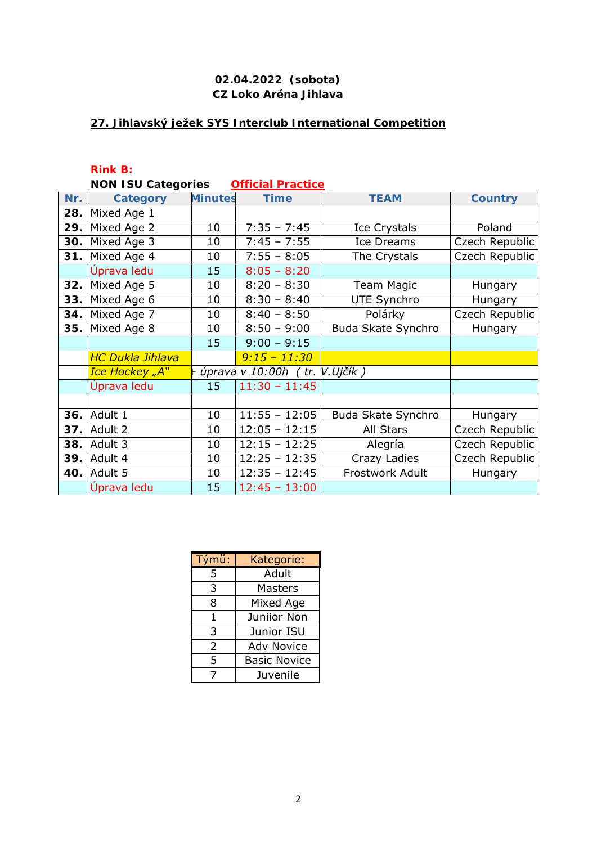## **27. Jihlavský ježek SYS Interclub International Competition**

**Rink B:**

|  | <b>NON ISU Categories</b> | <b>Official Practice</b> |
|--|---------------------------|--------------------------|
|  |                           |                          |

| Nr. | <b>Category</b>         | <b>Minutes</b> | <b>Time</b>                       | <b>TEAM</b>        | <b>Country</b> |
|-----|-------------------------|----------------|-----------------------------------|--------------------|----------------|
| 28. | Mixed Age 1             |                |                                   |                    |                |
| 29. | Mixed Age 2             | 10             | $7:35 - 7:45$                     | Ice Crystals       | Poland         |
| 30. | Mixed Age 3             | 10             | $7:45 - 7:55$                     | <b>Ice Dreams</b>  | Czech Republic |
| 31. | Mixed Age 4             | 10             | $7:55 - 8:05$                     | The Crystals       | Czech Republic |
|     | Úprava ledu             | 15             | $8:05 - 8:20$                     |                    |                |
| 32. | Mixed Age 5             | 10             | $8:20 - 8:30$                     | <b>Team Magic</b>  | Hungary        |
| 33. | Mixed Age 6             | 10             | $8:30 - 8:40$                     | <b>UTE Synchro</b> | Hungary        |
| 34. | Mixed Age 7             | 10             | $8:40 - 8:50$                     | Polárky            | Czech Republic |
| 35. | Mixed Age 8             | 10             | $8:50 - 9:00$                     | Buda Skate Synchro | Hungary        |
|     |                         | 15             | $9:00 - 9:15$                     |                    |                |
|     | <b>HC Dukla Jihlava</b> |                | $9:15 - 11:30$                    |                    |                |
|     | Ice Hockey "A"          |                | + úprava v 10:00h ( tr. V.Ujčík ) |                    |                |
|     | Úprava ledu             | 15             | $11:30 - 11:45$                   |                    |                |
|     |                         |                |                                   |                    |                |
| 36. | Adult 1                 | 10             | $11:55 - 12:05$                   | Buda Skate Synchro | Hungary        |
| 37. | Adult 2                 | 10             | $12:05 - 12:15$                   | All Stars          | Czech Republic |
| 38. | Adult 3                 | 10             | $12:15 - 12:25$                   | Alegría            | Czech Republic |
| 39. | Adult 4                 | 10             | $12:25 - 12:35$                   | Crazy Ladies       | Czech Republic |
| 40. | Adult 5                 | 10             | $12:35 - 12:45$                   | Frostwork Adult    | Hungary        |
|     | Úprava ledu             | 15             | $12:45 - 13:00$                   |                    |                |

| Týmů: | Kategorie:          |  |
|-------|---------------------|--|
| 5     | Adult               |  |
| 3     | Masters             |  |
| 8     | Mixed Age           |  |
| 1     | Juniior Non         |  |
| 3     | Junior ISU          |  |
| 2     | <b>Adv Novice</b>   |  |
| 5     | <b>Basic Novice</b> |  |
|       | Juvenile            |  |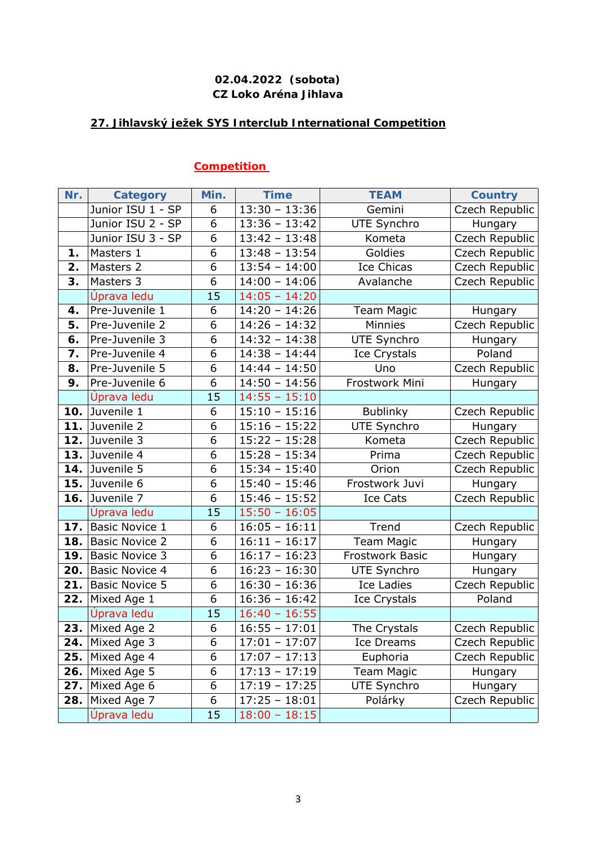## **27. Jihlavský ježek SYS Interclub International Competition**

# **Competition**

| Nr. | <b>Category</b>       | Min. | <b>Time</b>     | <b>TEAM</b>         | <b>Country</b> |
|-----|-----------------------|------|-----------------|---------------------|----------------|
|     | Junior ISU 1 - SP     | 6    | $13:30 - 13:36$ | Gemini              | Czech Republic |
|     | Junior ISU 2 - SP     | 6    | $13:36 - 13:42$ | UTE Synchro         | Hungary        |
|     | Junior ISU 3 - SP     | 6    | $13:42 - 13:48$ | Kometa              | Czech Republic |
| 1.  | Masters 1             | 6    | $13:48 - 13:54$ | Goldies             | Czech Republic |
| 2.  | Masters 2             | 6    | $13:54 - 14:00$ | <b>Ice Chicas</b>   | Czech Republic |
| 3.  | Masters 3             | 6    | $14:00 - 14:06$ | Avalanche           | Czech Republic |
|     | Úprava ledu           | 15   | $14:05 - 14:20$ |                     |                |
| 4.  | Pre-Juvenile 1        | 6    | $14:20 - 14:26$ | <b>Team Magic</b>   | Hungary        |
| 5.  | Pre-Juvenile 2        | 6    | $14:26 - 14:32$ | <b>Minnies</b>      | Czech Republic |
| 6.  | Pre-Juvenile 3        | 6    | $14:32 - 14:38$ | UTE Synchro         | Hungary        |
| 7.  | Pre-Juvenile 4        | 6    | $14:38 - 14:44$ | <b>Ice Crystals</b> | Poland         |
| 8.  | Pre-Juvenile 5        | 6    | $14:44 - 14:50$ | Uno                 | Czech Republic |
| 9.  | Pre-Juvenile 6        | 6    | $14:50 - 14:56$ | Frostwork Mini      | Hungary        |
|     | Úprava ledu           | 15   | $14:55 - 15:10$ |                     |                |
| 10. | Juvenile 1            | 6    | $15:10 - 15:16$ | <b>Bublinky</b>     | Czech Republic |
| 11. | Juvenile 2            | 6    | $15:16 - 15:22$ | UTE Synchro         | Hungary        |
| 12. | Juvenile 3            | 6    | $15:22 - 15:28$ | Kometa              | Czech Republic |
| 13. | Juvenile 4            | 6    | $15:28 - 15:34$ | Prima               | Czech Republic |
| 14. | Juvenile 5            | 6    | $15:34 - 15:40$ | Orion               | Czech Republic |
| 15. | Juvenile 6            | 6    | $15:40 - 15:46$ | Frostwork Juvi      | Hungary        |
| 16. | Juvenile 7            | 6    | $15:46 - 15:52$ | Ice Cats            | Czech Republic |
|     | Úprava ledu           | 15   | $15:50 - 16:05$ |                     |                |
| 17. | Basic Novice 1        | 6    | $16:05 - 16:11$ | Trend               | Czech Republic |
| 18. | <b>Basic Novice 2</b> | 6    | $16:11 - 16:17$ | <b>Team Magic</b>   | Hungary        |
| 19. | <b>Basic Novice 3</b> | 6    | $16:17 - 16:23$ | Frostwork Basic     | Hungary        |
| 20. | <b>Basic Novice 4</b> | 6    | $16:23 - 16:30$ | <b>UTE Synchro</b>  | Hungary        |
| 21. | <b>Basic Novice 5</b> | 6    | $16:30 - 16:36$ | <b>Ice Ladies</b>   | Czech Republic |
| 22. | Mixed Age 1           | 6    | $16:36 - 16:42$ | <b>Ice Crystals</b> | Poland         |
|     | Úprava ledu           | 15   | $16:40 - 16:55$ |                     |                |
| 23. | Mixed Age 2           | 6    | $16:55 - 17:01$ | The Crystals        | Czech Republic |
| 24. | Mixed Age 3           | 6    | $17:01 - 17:07$ | Ice Dreams          | Czech Republic |
| 25. | Mixed Age 4           | 6    | $17:07 - 17:13$ | Euphoria            | Czech Republic |
| 26. | Mixed Age 5           | 6    | $17:13 - 17:19$ | Team Magic          | Hungary        |
| 27. | Mixed Age 6           | 6    | $17:19 - 17:25$ | UTE Synchro         | Hungary        |
| 28. | Mixed Age 7           | 6    | $17:25 - 18:01$ | Polárky             | Czech Republic |
|     | Úprava ledu           | 15   | $18:00 - 18:15$ |                     |                |